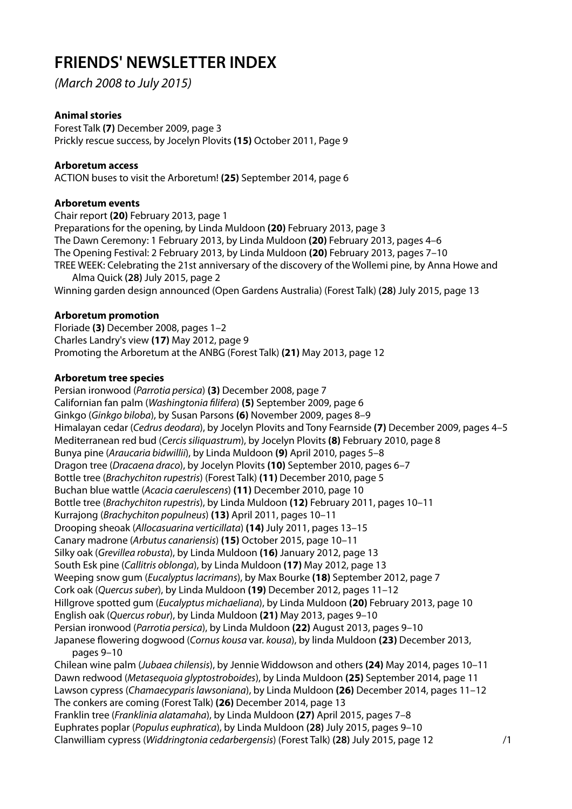# **FRIENDS' NEWSLETTER INDEX**

(March 2008 to July 2015)

# **Animal stories**

Forest Talk **(7)** December 2009, page 3 Prickly rescue success, by Jocelyn Plovits **(15)** October 2011, Page 9

## **Arboretum access**

ACTION buses to visit the Arboretum! **(25)** September 2014, page 6

## **Arboretum events**

Chair report **(20)** February 2013, page 1 Preparations for the opening, by Linda Muldoon **(20)** February 2013, page 3 The Dawn Ceremony: 1 February 2013, by Linda Muldoon **(20)** February 2013, pages 4–6 The Opening Festival: 2 February 2013, by Linda Muldoon **(20)** February 2013, pages 7–10 TREE WEEK: Celebrating the 21st anniversary of the discovery of the Wollemi pine, by Anna Howe and Alma Quick **(28)** July 2015, page 2

Winning garden design announced (Open Gardens Australia) (Forest Talk) **(28)** July 2015, page 13

## **Arboretum promotion**

Floriade **(3)** December 2008, pages 1–2 Charles Landry's view **(17)** May 2012, page 9 Promoting the Arboretum at the ANBG (Forest Talk) **(21)** May 2013, page 12

## **Arboretum tree species**

Persian ironwood (Parrotia persica) **(3)** December 2008, page 7 Californian fan palm (Washingtonia filifera) **(5)** September 2009, page 6 Ginkgo (Ginkgo biloba), by Susan Parsons **(6)** November 2009, pages 8–9 Himalayan cedar (Cedrus deodara), by Jocelyn Plovits and Tony Fearnside **(7)** December 2009, pages 4–5 Mediterranean red bud (Cercis siliquastrum), by Jocelyn Plovits **(8)** February 2010, page 8 Bunya pine (Araucaria bidwillii), by Linda Muldoon **(9)** April 2010, pages 5–8 Dragon tree (Dracaena draco), by Jocelyn Plovits **(10)** September 2010, pages 6–7 Bottle tree (Brachychiton rupestris) (Forest Talk) **(11)** December 2010, page 5 Buchan blue wattle (Acacia caerulescens) **(11)** December 2010, page 10 Bottle tree (Brachychiton rupestris), by Linda Muldoon **(12)** February 2011, pages 10–11 Kurrajong (Brachychiton populneus) **(13)** April 2011, pages 10–11 Drooping sheoak (Allocasuarina verticillata) **(14)** July 2011, pages 13–15 Canary madrone (Arbutus canariensis) **(15)** October 2015, page 10–11 Silky oak (Grevillea robusta), by Linda Muldoon **(16)** January 2012, page 13 South Esk pine (Callitris oblonga), by Linda Muldoon **(17)** May 2012, page 13 Weeping snow gum (Eucalyptus lacrimans), by Max Bourke **(18)** September 2012, page 7 Cork oak (Quercus suber), by Linda Muldoon **(19)** December 2012, pages 11–12 Hillgrove spotted gum (Eucalyptus michaeliana), by Linda Muldoon **(20)** February 2013, page 10 English oak (Quercus robur), by Linda Muldoon **(21)** May 2013, pages 9–10 Persian ironwood (Parrotia persica), by Linda Muldoon **(22)** August 2013, pages 9–10 Japanese flowering dogwood (Cornus kousa var. kousa), by linda Muldoon **(23)** December 2013, pages 9–10 Chilean wine palm (Jubaea chilensis), by Jennie Widdowson and others **(24)** May 2014, pages 10–11 Dawn redwood (Metasequoia glyptostroboides), by Linda Muldoon **(25)** September 2014, page 11 Lawson cypress (Chamaecyparis lawsoniana), by Linda Muldoon **(26)** December 2014, pages 11–12 The conkers are coming (Forest Talk) **(26)** December 2014, page 13 Franklin tree (Franklinia alatamaha), by Linda Muldoon **(27)** April 2015, pages 7–8 Euphrates poplar (Populus euphratica), by Linda Muldoon **(28)** July 2015, pages 9–10 Clanwilliam cypress (Widdringtonia cedarbergensis) (Forest Talk) **(28)** July 2015, page 12 /1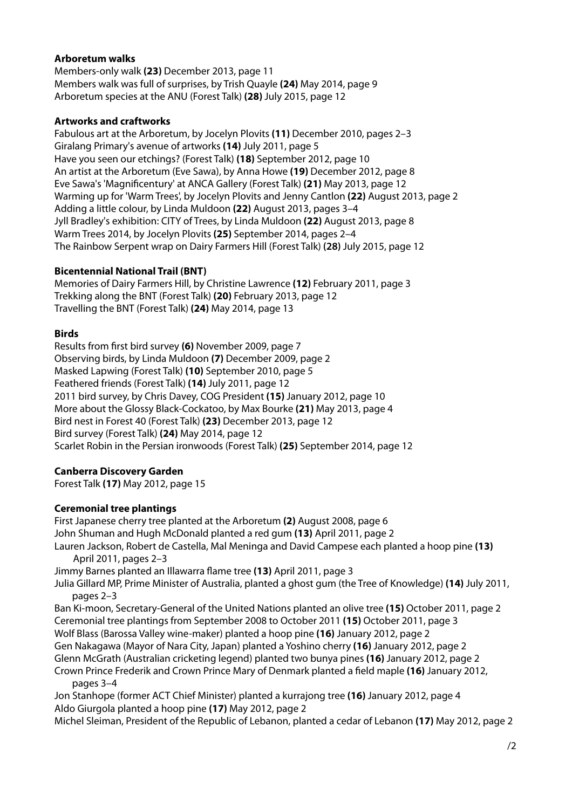## **Arboretum walks**

Members-only walk **(23)** December 2013, page 11 Members walk was full of surprises, by Trish Quayle **(24)** May 2014, page 9 Arboretum species at the ANU (Forest Talk) **(28)** July 2015, page 12

## **Artworks and craftworks**

Fabulous art at the Arboretum, by Jocelyn Plovits **(11)** December 2010, pages 2–3 Giralang Primary's avenue of artworks **(14)** July 2011, page 5 Have you seen our etchings? (Forest Talk) **(18)** September 2012, page 10 An artist at the Arboretum (Eve Sawa), by Anna Howe **(19)** December 2012, page 8 Eve Sawa's 'Magnificentury' at ANCA Gallery (Forest Talk) **(21)** May 2013, page 12 Warming up for 'Warm Trees', by Jocelyn Plovits and Jenny Cantlon **(22)** August 2013, page 2 Adding a little colour, by Linda Muldoon **(22)** August 2013, pages 3–4 Jyll Bradley's exhibition: CITY of Trees, by Linda Muldoon **(22)** August 2013, page 8 Warm Trees 2014, by Jocelyn Plovits **(25)** September 2014, pages 2–4 The Rainbow Serpent wrap on Dairy Farmers Hill (Forest Talk) **(28)** July 2015, page 12

## **Bicentennial National Trail (BNT)**

Memories of Dairy Farmers Hill, by Christine Lawrence **(12)** February 2011, page 3 Trekking along the BNT (Forest Talk) **(20)** February 2013, page 12 Travelling the BNT (Forest Talk) **(24)** May 2014, page 13

#### **Birds**

Results from first bird survey **(6)** November 2009, page 7 Observing birds, by Linda Muldoon **(7)** December 2009, page 2 Masked Lapwing (Forest Talk) **(10)** September 2010, page 5 Feathered friends (Forest Talk) **(14)** July 2011, page 12 2011 bird survey, by Chris Davey, COG President **(15)** January 2012, page 10 More about the Glossy Black-Cockatoo, by Max Bourke **(21)** May 2013, page 4 Bird nest in Forest 40 (Forest Talk) **(23)** December 2013, page 12 Bird survey (Forest Talk) **(24)** May 2014, page 12 Scarlet Robin in the Persian ironwoods (Forest Talk) **(25)** September 2014, page 12

## **Canberra Discovery Garden**

Forest Talk **(17)** May 2012, page 15

## **Ceremonial tree plantings**

First Japanese cherry tree planted at the Arboretum **(2)** August 2008, page 6 John Shuman and Hugh McDonald planted a red gum **(13)** April 2011, page 2 Lauren Jackson, Robert de Castella, Mal Meninga and David Campese each planted a hoop pine **(13) nnn**April 2011, pages 2–3 Jimmy Barnes planted an Illawarra flame tree **(13)** April 2011, page 3 Julia Gillard MP, Prime Minister of Australia, planted a ghost gum (the Tree of Knowledge) **(14)** July 2011, pages 2–3 Ban Ki-moon, Secretary-General of the United Nations planted an olive tree **(15)** October 2011, page 2 Ceremonial tree plantings from September 2008 to October 2011 **(15)** October 2011, page 3 Wolf Blass (Barossa Valley wine-maker) planted a hoop pine **(16)** January 2012, page 2 Gen Nakagawa (Mayor of Nara City, Japan) planted a Yoshino cherry **(16)** January 2012, page 2 Glenn McGrath (Australian cricketing legend) planted two bunya pines **(16)** January 2012, page 2 Crown Prince Frederik and Crown Prince Mary of Denmark planted a field maple **(16)** January 2012, pages 3–4 Jon Stanhope (former ACT Chief Minister) planted a kurrajong tree **(16)** January 2012, page 4 Aldo Giurgola planted a hoop pine **(17)** May 2012, page 2

Michel Sleiman, President of the Republic of Lebanon, planted a cedar of Lebanon **(17)** May 2012, page 2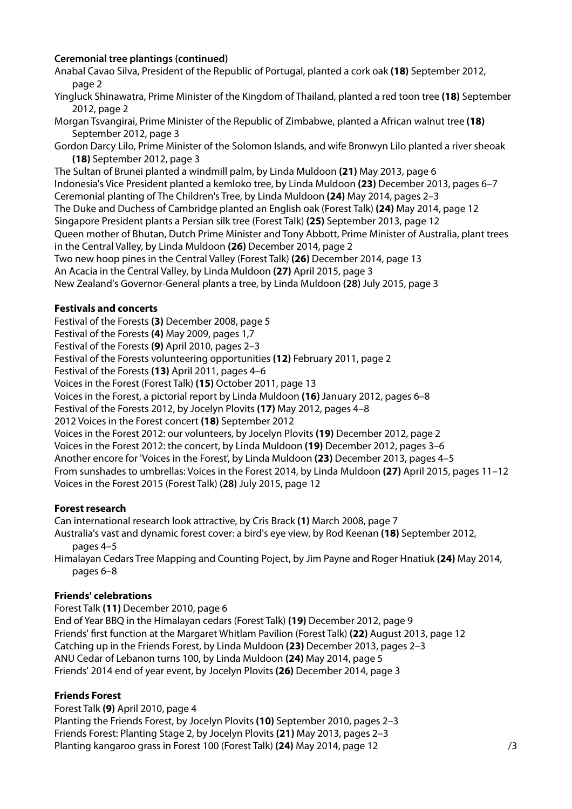## **Ceremonial tree plantings (continued)**

Anabal Cavao Silva, President of the Republic of Portugal, planted a cork oak **(18)** September 2012, page 2

- Yingluck Shinawatra, Prime Minister of the Kingdom of Thailand, planted a red toon tree **(18)** September 2012, page 2
- Morgan Tsvangirai, Prime Minister of the Republic of Zimbabwe, planted a African walnut tree **(18)**  September 2012, page 3
- Gordon Darcy Lilo, Prime Minister of the Solomon Islands, and wife Bronwyn Lilo planted a river sheoak **(18)** September 2012, page 3

The Sultan of Brunei planted a windmill palm, by Linda Muldoon **(21)** May 2013, page 6 Indonesia's Vice President planted a kemloko tree, by Linda Muldoon **(23)** December 2013, pages 6–7 Ceremonial planting of The Children's Tree, by Linda Muldoon **(24)** May 2014, pages 2–3 The Duke and Duchess of Cambridge planted an English oak (Forest Talk) **(24)** May 2014, page 12 Singapore President plants a Persian silk tree (Forest Talk) **(25)** September 2013, page 12 Queen mother of Bhutan, Dutch Prime Minister and Tony Abbott, Prime Minister of Australia, plant trees in the Central Valley, by Linda Muldoon **(26)** December 2014, page 2 Two new hoop pines in the Central Valley (Forest Talk) **(26)** December 2014, page 13 An Acacia in the Central Valley, by Linda Muldoon **(27)** April 2015, page 3 New Zealand's Governor-General plants a tree, by Linda Muldoon **(28)** July 2015, page 3

## **Festivals and concerts**

Festival of the Forests **(3)** December 2008, page 5 Festival of the Forests **(4)** May 2009, pages 1,7 Festival of the Forests **(9)** April 2010, pages 2–3 Festival of the Forests volunteering opportunities **(12)** February 2011, page 2 Festival of the Forests **(13)** April 2011, pages 4–6 Voices in the Forest (Forest Talk) **(15)** October 2011, page 13 Voices in the Forest, a pictorial report by Linda Muldoon **(16)** January 2012, pages 6–8 Festival of the Forests 2012, by Jocelyn Plovits **(17)** May 2012, pages 4–8 2012 Voices in the Forest concert **(18)** September 2012 Voices in the Forest 2012: our volunteers, by Jocelyn Plovits **(19)** December 2012, page 2 Voices in the Forest 2012: the concert, by Linda Muldoon **(19)** December 2012, pages 3–6 Another encore for 'Voices in the Forest', by Linda Muldoon **(23)** December 2013, pages 4–5 From sunshades to umbrellas: Voices in the Forest 2014, by Linda Muldoon **(27)** April 2015, pages 11–12 Voices in the Forest 2015 (Forest Talk) **(28)** July 2015, page 12

## **Forest research**

Can international research look attractive, by Cris Brack **(1)** March 2008, page 7 Australia's vast and dynamic forest cover: a bird's eye view, by Rod Keenan **(18)** September 2012, pages 4–5

Himalayan Cedars Tree Mapping and Counting Poject, by Jim Payne and Roger Hnatiuk **(24)** May 2014, pages 6–8

## **Friends' celebrations**

Forest Talk **(11)** December 2010, page 6 End of Year BBQ in the Himalayan cedars (Forest Talk) **(19)** December 2012, page 9 Friends' first function at the Margaret Whitlam Pavilion (Forest Talk) **(22)** August 2013, page 12 Catching up in the Friends Forest, by Linda Muldoon **(23)** December 2013, pages 2–3 ANU Cedar of Lebanon turns 100, by Linda Muldoon **(24)** May 2014, page 5 Friends' 2014 end of year event, by Jocelyn Plovits **(26)** December 2014, page 3

## **Friends Forest**

Forest Talk **(9)** April 2010, page 4

Planting the Friends Forest, by Jocelyn Plovits **(10)** September 2010, pages 2–3 Friends Forest: Planting Stage 2, by Jocelyn Plovits **(21)** May 2013, pages 2–3 Planting kangaroo grass in Forest 100 (Forest Talk) **(24)** May 2014, page 12 /3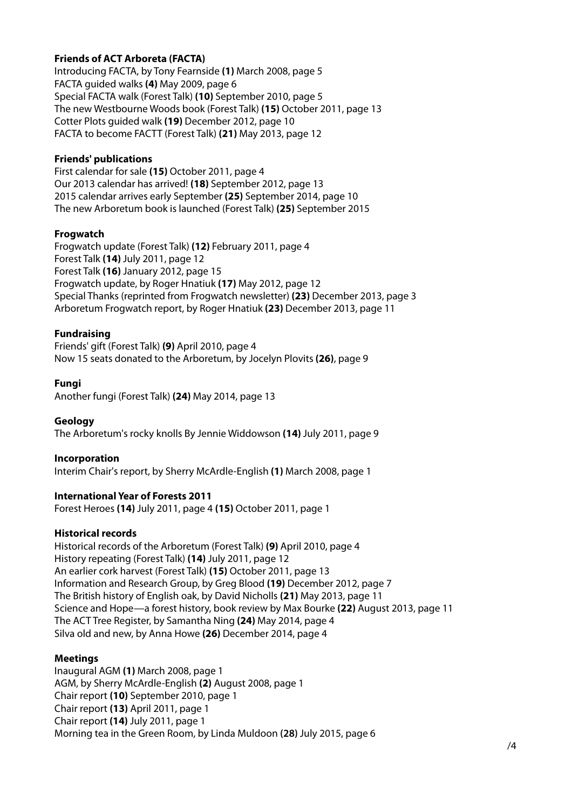## **Friends of ACT Arboreta (FACTA)**

Introducing FACTA, by Tony Fearnside **(1)** March 2008, page 5 FACTA guided walks **(4)** May 2009, page 6 Special FACTA walk (Forest Talk) **(10)** September 2010, page 5 The new Westbourne Woods book (Forest Talk) **(15)** October 2011, page 13 Cotter Plots guided walk **(19)** December 2012, page 10 FACTA to become FACTT (Forest Talk) **(21)** May 2013, page 12

#### **Friends' publications**

First calendar for sale **(15)** October 2011, page 4 Our 2013 calendar has arrived! **(18)** September 2012, page 13 2015 calendar arrives early September **(25)** September 2014, page 10 The new Arboretum book is launched (Forest Talk) **(25)** September 2015

## **Frogwatch**

Frogwatch update (Forest Talk) **(12)** February 2011, page 4 Forest Talk **(14)** July 2011, page 12 Forest Talk **(16)** January 2012, page 15 Frogwatch update, by Roger Hnatiuk **(17)** May 2012, page 12 Special Thanks (reprinted from Frogwatch newsletter) **(23)** December 2013, page 3 Arboretum Frogwatch report, by Roger Hnatiuk **(23)** December 2013, page 11

## **Fundraising**

Friends' gift (Forest Talk) **(9)** April 2010, page 4 Now 15 seats donated to the Arboretum, by Jocelyn Plovits **(26)**, page 9

#### **Fungi**

Another fungi (Forest Talk) **(24)** May 2014, page 13

## **Geology**

The Arboretum's rocky knolls By Jennie Widdowson **(14)** July 2011, page 9

#### **Incorporation**

Interim Chair's report, by Sherry McArdle-English **(1)** March 2008, page 1

## **International Year of Forests 2011**

Forest Heroes **(14)** July 2011, page 4 **(15)** October 2011, page 1

## **Historical records**

Historical records of the Arboretum (Forest Talk) **(9)** April 2010, page 4 History repeating (Forest Talk) **(14)** July 2011, page 12 An earlier cork harvest (Forest Talk) **(15)** October 2011, page 13 Information and Research Group, by Greg Blood **(19)** December 2012, page 7 The British history of English oak, by David Nicholls **(21)** May 2013, page 11 Science and Hope—a forest history, book review by Max Bourke **(22)** August 2013, page 11 The ACT Tree Register, by Samantha Ning **(24)** May 2014, page 4 Silva old and new, by Anna Howe **(26)** December 2014, page 4

## **Meetings**

Inaugural AGM **(1)** March 2008, page 1 AGM, by Sherry McArdle-English **(2)** August 2008, page 1 Chair report **(10)** September 2010, page 1 Chair report **(13)** April 2011, page 1 Chair report **(14)** July 2011, page 1 Morning tea in the Green Room, by Linda Muldoon **(28)** July 2015, page 6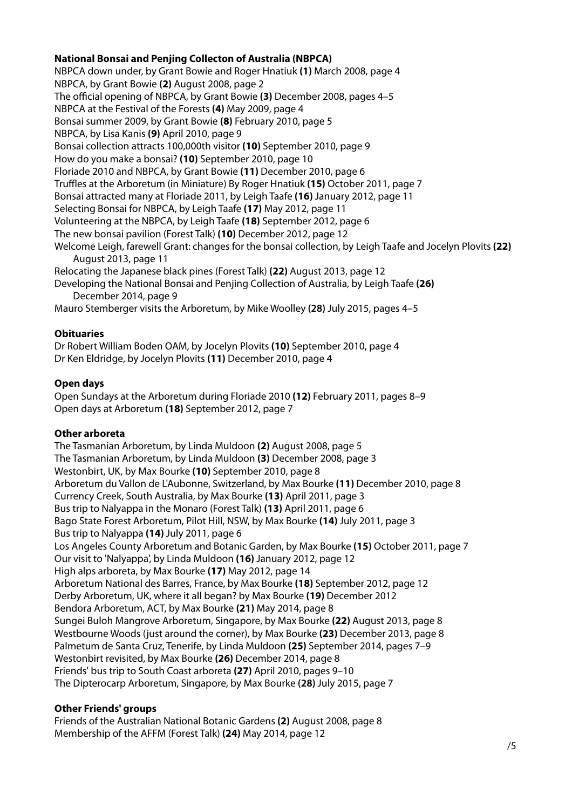## **National Bonsai and Penjing Collecton of Australia (NBPCA)**

NBPCA down under, by Grant Bowie and Roger Hnatiuk **(1)** March 2008, page 4 NBPCA, by Grant Bowie **(2)** August 2008, page 2 The official opening of NBPCA, by Grant Bowie **(3)** December 2008, pages 4–5 NBPCA at the Festival of the Forests **(4)** May 2009, page 4 Bonsai summer 2009, by Grant Bowie **(8)** February 2010, page 5 NBPCA, by Lisa Kanis **(9)** April 2010, page 9 Bonsai collection attracts 100,000th visitor **(10)** September 2010, page 9 How do you make a bonsai? **(10)** September 2010, page 10 Floriade 2010 and NBPCA, by Grant Bowie **(11)** December 2010, page 6 Truffles at the Arboretum (in Miniature) By Roger Hnatiuk **(15)** October 2011, page 7 Bonsai attracted many at Floriade 2011, by Leigh Taafe **(16)** January 2012, page 11 Selecting Bonsai for NBPCA, by Leigh Taafe **(17)** May 2012, page 11 Volunteering at the NBPCA, by Leigh Taafe **(18)** September 2012, page 6 The new bonsai pavilion (Forest Talk) **(10)** December 2012, page 12 Welcome Leigh, farewell Grant: changes for the bonsai collection, by Leigh Taafe and Jocelyn Plovits **(22) nnn**August 2013, page 11 Relocating the Japanese black pines (Forest Talk) **(22)** August 2013, page 12 Developing the National Bonsai and Penjing Collection of Australia, by Leigh Taafe **(26)**  December 2014, page 9

Mauro Stemberger visits the Arboretum, by Mike Woolley **(28)** July 2015, pages 4–5

## **Obituaries**

Dr Robert William Boden OAM, by Jocelyn Plovits **(10)** September 2010, page 4 Dr Ken Eldridge, by Jocelyn Plovits **(11)** December 2010, page 4

## **Open days**

Open Sundays at the Arboretum during Floriade 2010 **(12)** February 2011, pages 8–9 Open days at Arboretum **(18)** September 2012, page 7

## **Other arboreta**

The Tasmanian Arboretum, by Linda Muldoon **(2)** August 2008, page 5 The Tasmanian Arboretum, by Linda Muldoon **(3)** December 2008, page 3 Westonbirt, UK, by Max Bourke **(10)** September 2010, page 8 Arboretum du Vallon de L'Aubonne, Switzerland, by Max Bourke **(11)** December 2010, page 8 Currency Creek, South Australia, by Max Bourke **(13)** April 2011, page 3 Bus trip to Nalyappa in the Monaro (Forest Talk) **(13)** April 2011, page 6 Bago State Forest Arboretum, Pilot Hill, NSW, by Max Bourke **(14)** July 2011, page 3 Bus trip to Nalyappa **(14)** July 2011, page 6 Los Angeles County Arboretum and Botanic Garden, by Max Bourke **(15)** October 2011, page 7 Our visit to 'Nalyappa', by Linda Muldoon **(16)** January 2012, page 12 High alps arboreta, by Max Bourke **(17)** May 2012, page 14 Arboretum National des Barres, France, by Max Bourke **(18)** September 2012, page 12 Derby Arboretum, UK, where it all began? by Max Bourke **(19)** December 2012 Bendora Arboretum, ACT, by Max Bourke **(21)** May 2014, page 8 Sungei Buloh Mangrove Arboretum, Singapore, by Max Bourke **(22)** August 2013, page 8 Westbourne Woods (just around the corner), by Max Bourke **(23)** December 2013, page 8 Palmetum de Santa Cruz, Tenerife, by Linda Muldoon **(25)** September 2014, pages 7–9 Westonbirt revisited, by Max Bourke **(26)** December 2014, page 8 Friends' bus trip to South Coast arboreta **(27)** April 2010, pages 9–10 The Dipterocarp Arboretum, Singapore, by Max Bourke **(28)** July 2015, page 7

## **Other Friends' groups**

Friends of the Australian National Botanic Gardens **(2)** August 2008, page 8 Membership of the AFFM (Forest Talk) **(24)** May 2014, page 12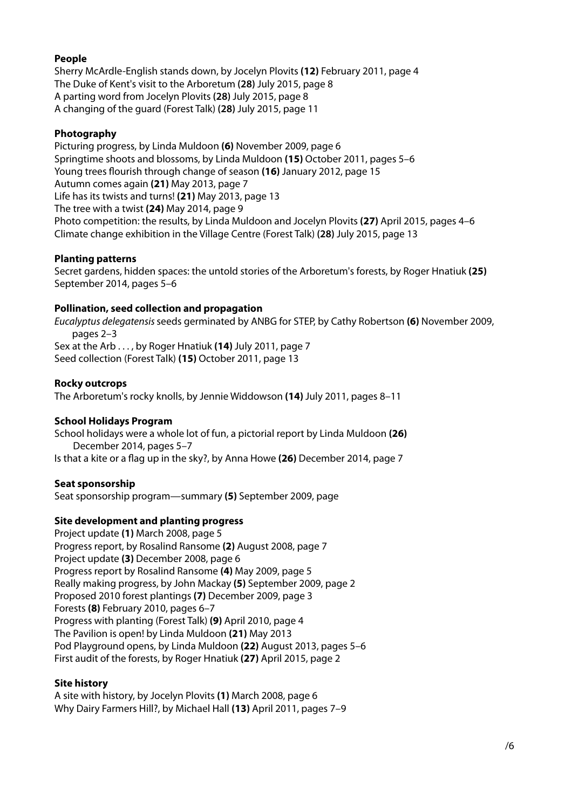## **People**

Sherry McArdle-English stands down, by Jocelyn Plovits **(12)** February 2011, page 4 The Duke of Kent's visit to the Arboretum **(28)** July 2015, page 8 A parting word from Jocelyn Plovits **(28)** July 2015, page 8 A changing of the guard (Forest Talk) **(28)** July 2015, page 11

## **Photography**

Picturing progress, by Linda Muldoon **(6)** November 2009, page 6 Springtime shoots and blossoms, by Linda Muldoon **(15)** October 2011, pages 5–6 Young trees flourish through change of season **(16)** January 2012, page 15 Autumn comes again **(21)** May 2013, page 7 Life has its twists and turns! **(21)** May 2013, page 13 The tree with a twist **(24)** May 2014, page 9 Photo competition: the results, by Linda Muldoon and Jocelyn Plovits **(27)** April 2015, pages 4–6 Climate change exhibition in the Village Centre (Forest Talk) **(28)** July 2015, page 13

## **Planting patterns**

Secret gardens, hidden spaces: the untold stories of the Arboretum's forests, by Roger Hnatiuk **(25)**  September 2014, pages 5–6

## **Pollination, seed collection and propagation**

Eucalyptus delegatensis seeds germinated by ANBG for STEP, by Cathy Robertson **(6)** November 2009, pages 2–3 Sex at the Arb . . . , by Roger Hnatiuk **(14)** July 2011, page 7 Seed collection (Forest Talk) **(15)** October 2011, page 13

## **Rocky outcrops**

The Arboretum's rocky knolls, by Jennie Widdowson **(14)** July 2011, pages 8–11

## **School Holidays Program**

School holidays were a whole lot of fun, a pictorial report by Linda Muldoon **(26) nnn**December 2014, pages 5–7 Is that a kite or a flag up in the sky?, by Anna Howe **(26)** December 2014, page 7

## **Seat sponsorship**

Seat sponsorship program—summary **(5)** September 2009, page

# **Site development and planting progress**

Project update **(1)** March 2008, page 5 Progress report, by Rosalind Ransome **(2)** August 2008, page 7 Project update **(3)** December 2008, page 6 Progress report by Rosalind Ransome **(4)** May 2009, page 5 Really making progress, by John Mackay **(5)** September 2009, page 2 Proposed 2010 forest plantings **(7)** December 2009, page 3 Forests **(8)** February 2010, pages 6–7 Progress with planting (Forest Talk) **(9)** April 2010, page 4 The Pavilion is open! by Linda Muldoon **(21)** May 2013 Pod Playground opens, by Linda Muldoon **(22)** August 2013, pages 5–6 First audit of the forests, by Roger Hnatiuk **(27)** April 2015, page 2

## **Site history**

A site with history, by Jocelyn Plovits **(1)** March 2008, page 6 Why Dairy Farmers Hill?, by Michael Hall **(13)** April 2011, pages 7–9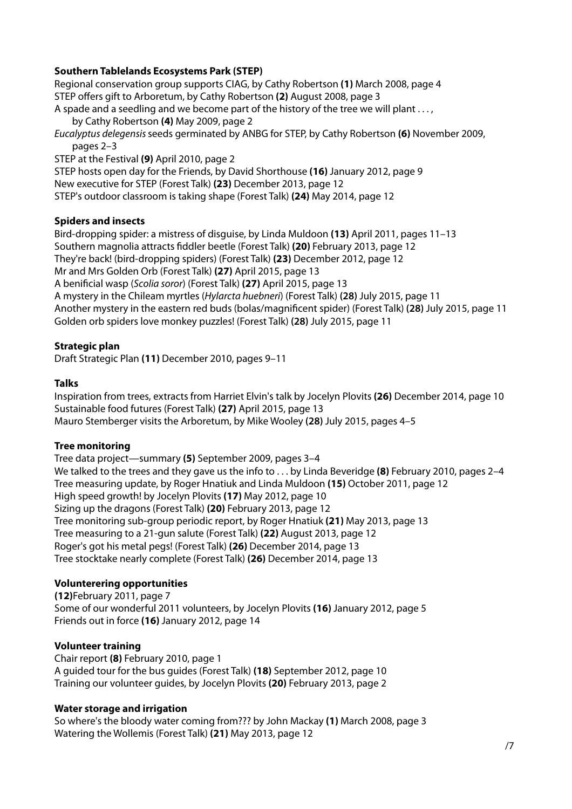## **Southern Tablelands Ecosystems Park (STEP)**

Regional conservation group supports CIAG, by Cathy Robertson **(1)** March 2008, page 4 STEP offers gift to Arboretum, by Cathy Robertson **(2)** August 2008, page 3 A spade and a seedling and we become part of the history of the tree we will plant . . . ,

by Cathy Robertson (4) May 2009, page 2 Eucalyptus delegensis seeds germinated by ANBG for STEP, by Cathy Robertson **(6)** November 2009, pages 2–3

STEP at the Festival **(9)** April 2010, page 2

STEP hosts open day for the Friends, by David Shorthouse **(16)** January 2012, page 9

New executive for STEP (Forest Talk) **(23)** December 2013, page 12

STEP's outdoor classroom is taking shape (Forest Talk) **(24)** May 2014, page 12

## **Spiders and insects**

Bird-dropping spider: a mistress of disguise, by Linda Muldoon **(13)** April 2011, pages 11–13 Southern magnolia attracts fiddler beetle (Forest Talk) **(20)** February 2013, page 12 They're back! (bird-dropping spiders) (Forest Talk) **(23)** December 2012, page 12 Mr and Mrs Golden Orb (Forest Talk) **(27)** April 2015, page 13 A benificial wasp (Scolia soror) (Forest Talk) **(27)** April 2015, page 13 A mystery in the Chileam myrtles (Hylarcta huebneri) (Forest Talk) **(28)** July 2015, page 11 Another mystery in the eastern red buds (bolas/magnificent spider) (Forest Talk) **(28)** July 2015, page 11 Golden orb spiders love monkey puzzles! (Forest Talk) **(28)** July 2015, page 11

# **Strategic plan**

Draft Strategic Plan **(11)** December 2010, pages 9–11

## **Talks**

Inspiration from trees, extracts from Harriet Elvin's talk by Jocelyn Plovits **(26)** December 2014, page 10 Sustainable food futures (Forest Talk) **(27)** April 2015, page 13 Mauro Stemberger visits the Arboretum, by Mike Wooley **(28)** July 2015, pages 4–5

## **Tree monitoring**

Tree data project—summary **(5)** September 2009, pages 3–4 We talked to the trees and they gave us the info to . . . by Linda Beveridge **(8)** February 2010, pages 2–4 Tree measuring update, by Roger Hnatiuk and Linda Muldoon **(15)** October 2011, page 12 High speed growth! by Jocelyn Plovits **(17)** May 2012, page 10 Sizing up the dragons (Forest Talk) **(20)** February 2013, page 12 Tree monitoring sub-group periodic report, by Roger Hnatiuk **(21)** May 2013, page 13 Tree measuring to a 21-gun salute (Forest Talk) **(22)** August 2013, page 12 Roger's got his metal pegs! (Forest Talk) **(26)** December 2014, page 13 Tree stocktake nearly complete (Forest Talk) **(26)** December 2014, page 13

# **Volunterering opportunities**

**(12)**February 2011, page 7 Some of our wonderful 2011 volunteers, by Jocelyn Plovits **(16)** January 2012, page 5 Friends out in force **(16)** January 2012, page 14

## **Volunteer training**

Chair report **(8)** February 2010, page 1 A guided tour for the bus guides (Forest Talk) **(18)** September 2012, page 10 Training our volunteer guides, by Jocelyn Plovits **(20)** February 2013, page 2

## **Water storage and irrigation**

So where's the bloody water coming from??? by John Mackay **(1)** March 2008, page 3 Watering the Wollemis (Forest Talk) **(21)** May 2013, page 12